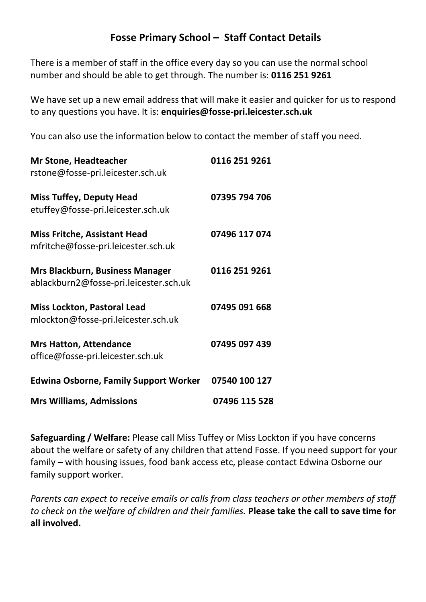## **Fosse Primary School – Staff Contact Details**

There is a member of staff in the office every day so you can use the normal school number and should be able to get through. The number is: **0116 251 9261**

We have set up a new email address that will make it easier and quicker for us to respond to any questions you have. It is: **[enquiries@fosse-pri.leicester.sch.uk](mailto:enquiries@fosse-pri.leicester.sch.uk)**

You can also use the information below to contact the member of staff you need.

| <b>Mrs Williams, Admissions</b>                                                  | 07496 115 528 |
|----------------------------------------------------------------------------------|---------------|
| <b>Edwina Osborne, Family Support Worker</b>                                     | 07540 100 127 |
| <b>Mrs Hatton, Attendance</b><br>office@fosse-pri.leicester.sch.uk               | 07495 097 439 |
| <b>Miss Lockton, Pastoral Lead</b><br>mlockton@fosse-pri.leicester.sch.uk        | 07495 091 668 |
| <b>Mrs Blackburn, Business Manager</b><br>ablackburn2@fosse-pri.leicester.sch.uk | 0116 251 9261 |
| <b>Miss Fritche, Assistant Head</b><br>mfritche@fosse-pri.leicester.sch.uk       | 07496 117 074 |
| <b>Miss Tuffey, Deputy Head</b><br>etuffey@fosse-pri.leicester.sch.uk            | 07395 794 706 |
| <b>Mr Stone, Headteacher</b><br>rstone@fosse-pri.leicester.sch.uk                | 0116 251 9261 |

**Safeguarding / Welfare:** Please call Miss Tuffey or Miss Lockton if you have concerns about the welfare or safety of any children that attend Fosse. If you need support for your family – with housing issues, food bank access etc, please contact Edwina Osborne our family support worker.

*Parents can expect to receive emails or calls from class teachers or other members of staff to check on the welfare of children and their families.* **Please take the call to save time for all involved.**